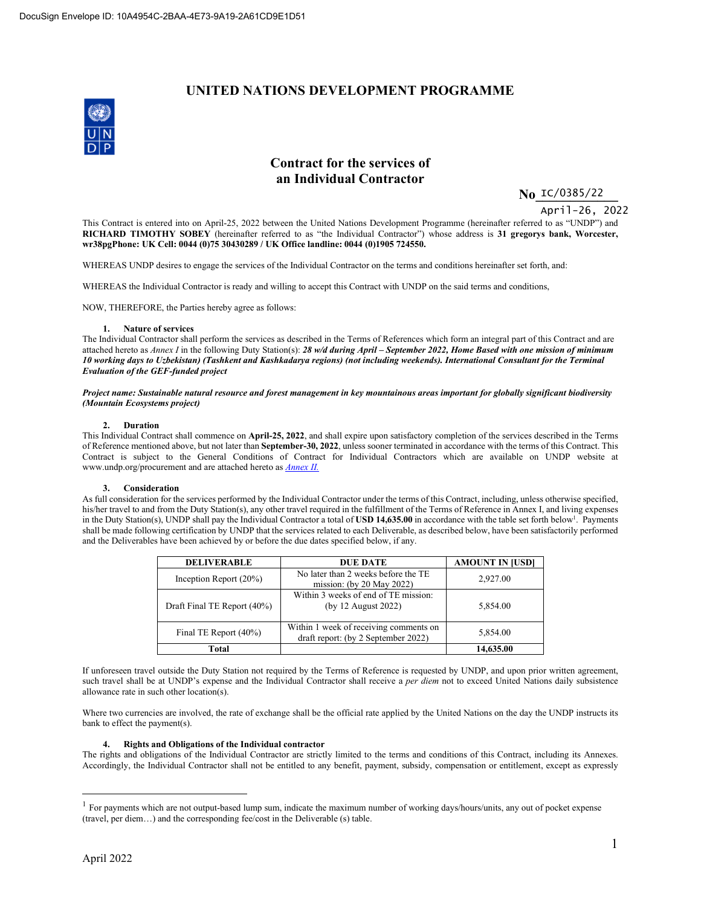### **UNITED NATIONS DEVELOPMENT PROGRAMME**



### **Contract for the services of an Individual Contractor**

 **No\_\_\_\_\_\_\_\_\_\_\_\_**  IC/0385/22

April-26, 2022

This Contract is entered into on April-25, 2022 between the United Nations Development Programme (hereinafter referred to as "UNDP") and **RICHARD TIMOTHY SOBEY** (hereinafter referred to as "the Individual Contractor") whose address is **31 gregorys bank, Worcester, wr38pgPhone: UK Cell: 0044 (0)75 30430289 / UK Office landline: 0044 (0)1905 724550.**

WHEREAS UNDP desires to engage the services of the Individual Contractor on the terms and conditions hereinafter set forth, and:

WHEREAS the Individual Contractor is ready and willing to accept this Contract with UNDP on the said terms and conditions,

NOW, THEREFORE, the Parties hereby agree as follows:

#### **1. Nature of services**

The Individual Contractor shall perform the services as described in the Terms of References which form an integral part of this Contract and are attached hereto as *Annex I* in the following Duty Station(s): *28 w/d during April – September 2022, Home Based with one mission of minimum 10 working days to Uzbekistan) (Tashkent and Kashkadarya regions) (not including weekends). International Consultant for the Terminal Evaluation of the GEF-funded project* 

*Project name: Sustainable natural resource and forest management in key mountainous areas important for globally significant biodiversity (Mountain Ecosystems project)*

#### **2. Duration**

This Individual Contract shall commence on **April-25, 2022**, and shall expire upon satisfactory completion of the services described in the Terms of Reference mentioned above, but not later than **September-30, 2022**, unless sooner terminated in accordance with the terms of this Contract. This Contract is subject to the General Conditions of Contract for Individual Contractors which are available on UNDP website at www.undp.org/procurement and are attached hereto as *Annex II.*

#### **3. Consideration**

As full consideration for the services performed by the Individual Contractor under the terms of this Contract, including, unless otherwise specified, his/her travel to and from the Duty Station(s), any other travel required in the fulfillment of the Terms of Reference in Annex I, and living expenses in the Duty Station(s), UNDP shall pay the Individual Contractor a total of **USD 14,635.00** in accordance with the table set forth below<sup>1</sup>. Payments shall be made following certification by UNDP that the services related to each Deliverable, as described below, have been satisfactorily performed and the Deliverables have been achieved by or before the due dates specified below, if any.

| <b>DELIVERABLE</b>          | <b>DUE DATE</b>                                                               | <b>AMOUNT IN JUSDI</b> |
|-----------------------------|-------------------------------------------------------------------------------|------------------------|
| Inception Report $(20\%)$   | No later than 2 weeks before the TE<br>mission: (by $20$ May $2022$ )         | 2,927.00               |
| Draft Final TE Report (40%) | Within 3 weeks of end of TE mission:<br>(by 12 August 2022)                   | 5,854.00               |
| Final TE Report (40%)       | Within 1 week of receiving comments on<br>draft report: (by 2 September 2022) | 5,854.00               |
| Total                       |                                                                               | 14,635.00              |

If unforeseen travel outside the Duty Station not required by the Terms of Reference is requested by UNDP, and upon prior written agreement, such travel shall be at UNDP's expense and the Individual Contractor shall receive a *per diem* not to exceed United Nations daily subsistence allowance rate in such other location(s).

Where two currencies are involved, the rate of exchange shall be the official rate applied by the United Nations on the day the UNDP instructs its bank to effect the payment(s).

#### **4. Rights and Obligations of the Individual contractor**

The rights and obligations of the Individual Contractor are strictly limited to the terms and conditions of this Contract, including its Annexes. Accordingly, the Individual Contractor shall not be entitled to any benefit, payment, subsidy, compensation or entitlement, except as expressly

<sup>&</sup>lt;sup>1</sup> For payments which are not output-based lump sum, indicate the maximum number of working days/hours/units, any out of pocket expense (travel, per diem…) and the corresponding fee/cost in the Deliverable (s) table.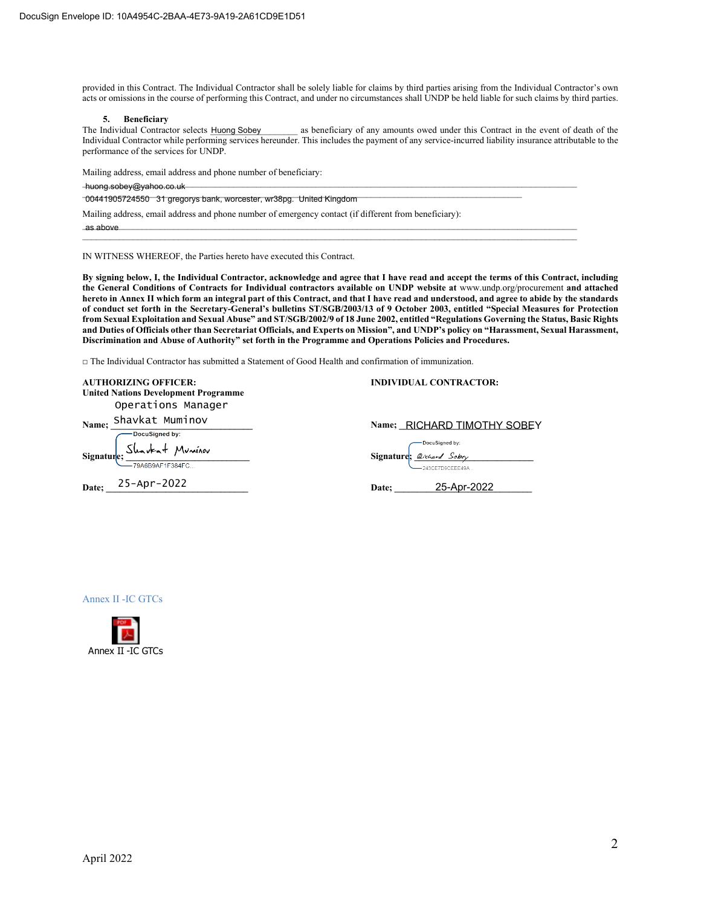provided in this Contract. The Individual Contractor shall be solely liable for claims by third parties arising from the Individual Contractor's own acts or omissions in the course of performing this Contract, and under no circumstances shall UNDP be held liable for such claims by third parties.

#### **5. Beneficiary**

as beneficiary of any amounts owed under this Contract in the event of death of the Individual Contractor while performing services hereunder. This includes the payment of any service-incurred liability insurance attributable to the performance of the services for UNDP. The Individual Contractor selects Huong Sobey

Mailing address, email address and phone number of beneficiary:

\_\_\_\_\_\_\_\_\_\_\_\_\_\_\_\_\_\_\_\_\_\_\_\_\_\_\_\_\_\_\_\_\_\_\_\_\_\_\_\_\_\_\_\_\_\_\_\_\_\_\_\_\_\_\_\_\_\_\_\_\_\_\_\_\_\_\_\_\_\_\_\_\_\_\_\_\_\_\_\_\_\_\_\_\_\_\_\_\_\_\_\_\_\_\_\_\_\_\_\_\_\_\_\_\_\_\_\_ huong.sobey@yahoo.co.uk

| -00441905724550 31 gregorys bank, worcester, wr38pg. United Kingdom                                   |
|-------------------------------------------------------------------------------------------------------|
|                                                                                                       |
| Mailing address, email address and phone number of emergency contact (if different from beneficiary): |

 $\overline{a}$ s above as above

IN WITNESS WHEREOF, the Parties hereto have executed this Contract.

**By signing below, I, the Individual Contractor, acknowledge and agree that I have read and accept the terms of this Contract, including the General Conditions of Contracts for Individual contractors available on UNDP website at** www.undp.org/procurement **and attached hereto in Annex II which form an integral part of this Contract, and that I have read and understood, and agree to abide by the standards of conduct set forth in the Secretary-General's bulletins ST/SGB/2003/13 of 9 October 2003, entitled "Special Measures for Protection from Sexual Exploitation and Sexual Abuse" and ST/SGB/2002/9 of 18 June 2002, entitled "Regulations Governing the Status, Basic Rights and Duties of Officials other than Secretariat Officials, and Experts on Mission", and UNDP's policy on "Harassment, Sexual Harassment, Discrimination and Abuse of Authority" set forth in the Programme and Operations Policies and Procedures.** 

□ The Individual Contractor has submitted a Statement of Good Health and confirmation of immunization.

|       | <b>AUTHORIZING OFFICER:</b>                 | <b>INDIVIDUAL CONTRACTOR:</b>                           |
|-------|---------------------------------------------|---------------------------------------------------------|
|       | <b>United Nations Development Programme</b> |                                                         |
|       | Operations Manager                          |                                                         |
| Name; | Shavkat Muminov                             | Name; RICHARD TIMOTHY SOBEY                             |
|       |                                             |                                                         |
|       |                                             | Bignature Docusigned by:<br>Signature 2. 2. Chard Sobey |
|       |                                             | 243CE7D9CEEE49A                                         |
|       | Date; 25-Apr-2022                           | 25-Apr-2022<br>Date;                                    |
|       |                                             |                                                         |



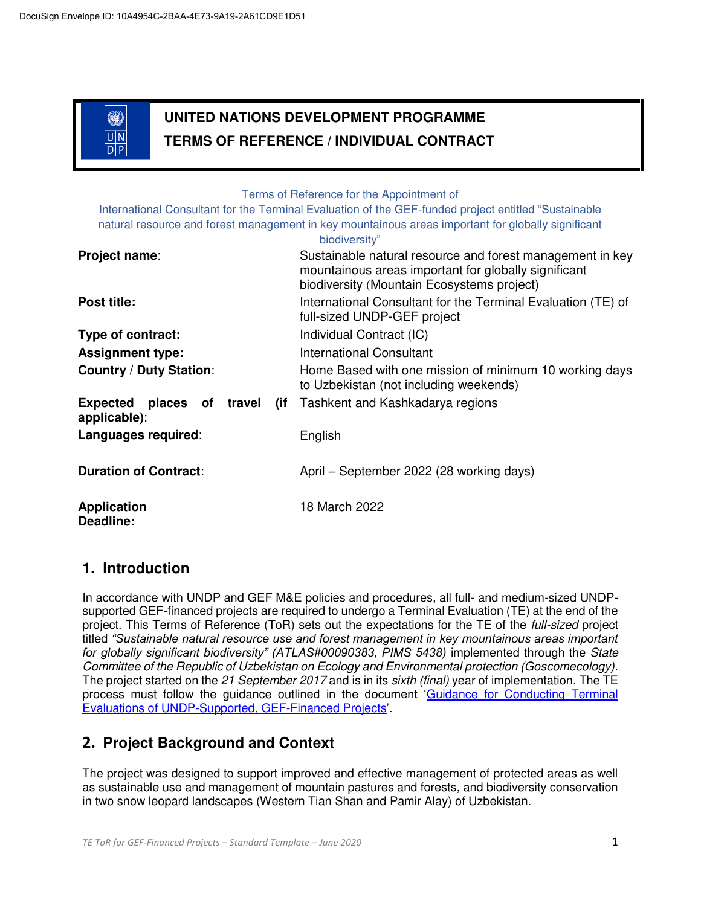

# **UNITED NATIONS DEVELOPMENT PROGRAMME TERMS OF REFERENCE / INDIVIDUAL CONTRACT**

Terms of Reference for the Appointment of

International Consultant for the Terminal Evaluation of the GEF-funded project entitled "Sustainable natural resource and forest management in key mountainous areas important for globally significant biodiversity"

|                                           | <b>DIODIVEISILY</b>                                                                                                                                             |
|-------------------------------------------|-----------------------------------------------------------------------------------------------------------------------------------------------------------------|
| Project name:                             | Sustainable natural resource and forest management in key<br>mountainous areas important for globally significant<br>biodiversity (Mountain Ecosystems project) |
| Post title:                               | International Consultant for the Terminal Evaluation (TE) of<br>full-sized UNDP-GEF project                                                                     |
| Type of contract:                         | Individual Contract (IC)                                                                                                                                        |
| <b>Assignment type:</b>                   | <b>International Consultant</b>                                                                                                                                 |
| <b>Country / Duty Station:</b>            | Home Based with one mission of minimum 10 working days<br>to Uzbekistan (not including weekends)                                                                |
| Expected places of travel<br>applicable): | (if Tashkent and Kashkadarya regions                                                                                                                            |
| Languages required:                       | English                                                                                                                                                         |
| <b>Duration of Contract:</b>              | April – September 2022 (28 working days)                                                                                                                        |
| <b>Application</b><br>Deadline:           | 18 March 2022                                                                                                                                                   |

### **1. Introduction**

In accordance with UNDP and GEF M&E policies and procedures, all full- and medium-sized UNDPsupported GEF-financed projects are required to undergo a Terminal Evaluation (TE) at the end of the project. This Terms of Reference (ToR) sets out the expectations for the TE of the *full-sized* project titled *"Sustainable natural resource use and forest management in key mountainous areas important for globally significant biodiversity" (ATLAS#00090383, PIMS 5438)* implemented through the *State Committee of the Republic of Uzbekistan on Ecology and Environmental protection (Goscomecology)*. The project started on the *21 September 2017* and is in its *sixth (final)* year of implementation. The TE process must follow the guidance outlined in the document '[Guidance for Conducting Terminal](http://web.undp.org/evaluation/guideline/documents/GEF/TE_GuidanceforUNDP-supportedGEF-financedProjects.pdf)  [Evaluations of UNDP-Supported, GEF-Financed Projects](http://web.undp.org/evaluation/guideline/documents/GEF/TE_GuidanceforUNDP-supportedGEF-financedProjects.pdf)'.

## **2. Project Background and Context**

The project was designed to support improved and effective management of protected areas as well as sustainable use and management of mountain pastures and forests, and biodiversity conservation in two snow leopard landscapes (Western Tian Shan and Pamir Alay) of Uzbekistan.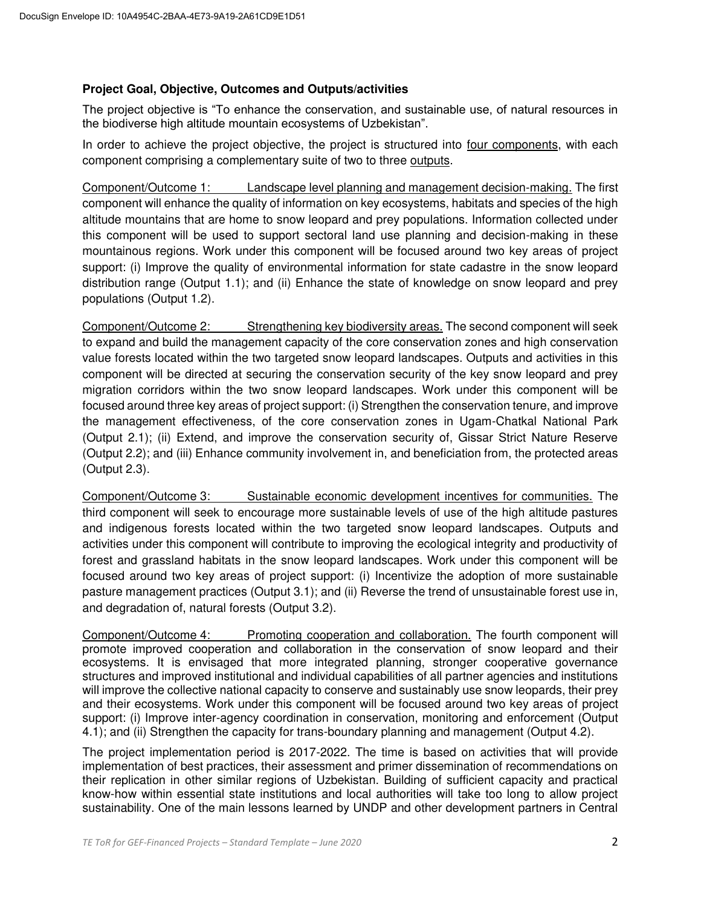### **Project Goal, Objective, Outcomes and Outputs/activities**

The project objective is "To enhance the conservation, and sustainable use, of natural resources in the biodiverse high altitude mountain ecosystems of Uzbekistan".

In order to achieve the project objective, the project is structured into four components, with each component comprising a complementary suite of two to three outputs.

Component/Outcome 1: Landscape level planning and management decision-making. The first component will enhance the quality of information on key ecosystems, habitats and species of the high altitude mountains that are home to snow leopard and prey populations. Information collected under this component will be used to support sectoral land use planning and decision-making in these mountainous regions. Work under this component will be focused around two key areas of project support: (i) Improve the quality of environmental information for state cadastre in the snow leopard distribution range (Output 1.1); and (ii) Enhance the state of knowledge on snow leopard and prey populations (Output 1.2).

Component/Outcome 2: Strengthening key biodiversity areas. The second component will seek to expand and build the management capacity of the core conservation zones and high conservation value forests located within the two targeted snow leopard landscapes. Outputs and activities in this component will be directed at securing the conservation security of the key snow leopard and prey migration corridors within the two snow leopard landscapes. Work under this component will be focused around three key areas of project support: (i) Strengthen the conservation tenure, and improve the management effectiveness, of the core conservation zones in Ugam-Chatkal National Park (Output 2.1); (ii) Extend, and improve the conservation security of, Gissar Strict Nature Reserve (Output 2.2); and (iii) Enhance community involvement in, and beneficiation from, the protected areas (Output 2.3).

Component/Outcome 3: Sustainable economic development incentives for communities. The third component will seek to encourage more sustainable levels of use of the high altitude pastures and indigenous forests located within the two targeted snow leopard landscapes. Outputs and activities under this component will contribute to improving the ecological integrity and productivity of forest and grassland habitats in the snow leopard landscapes. Work under this component will be focused around two key areas of project support: (i) Incentivize the adoption of more sustainable pasture management practices (Output 3.1); and (ii) Reverse the trend of unsustainable forest use in, and degradation of, natural forests (Output 3.2).

Component/Outcome 4: Promoting cooperation and collaboration. The fourth component will promote improved cooperation and collaboration in the conservation of snow leopard and their ecosystems. It is envisaged that more integrated planning, stronger cooperative governance structures and improved institutional and individual capabilities of all partner agencies and institutions will improve the collective national capacity to conserve and sustainably use snow leopards, their prey and their ecosystems. Work under this component will be focused around two key areas of project support: (i) Improve inter-agency coordination in conservation, monitoring and enforcement (Output 4.1); and (ii) Strengthen the capacity for trans-boundary planning and management (Output 4.2).

The project implementation period is 2017-2022. The time is based on activities that will provide implementation of best practices, their assessment and primer dissemination of recommendations on their replication in other similar regions of Uzbekistan. Building of sufficient capacity and practical know-how within essential state institutions and local authorities will take too long to allow project sustainability. One of the main lessons learned by UNDP and other development partners in Central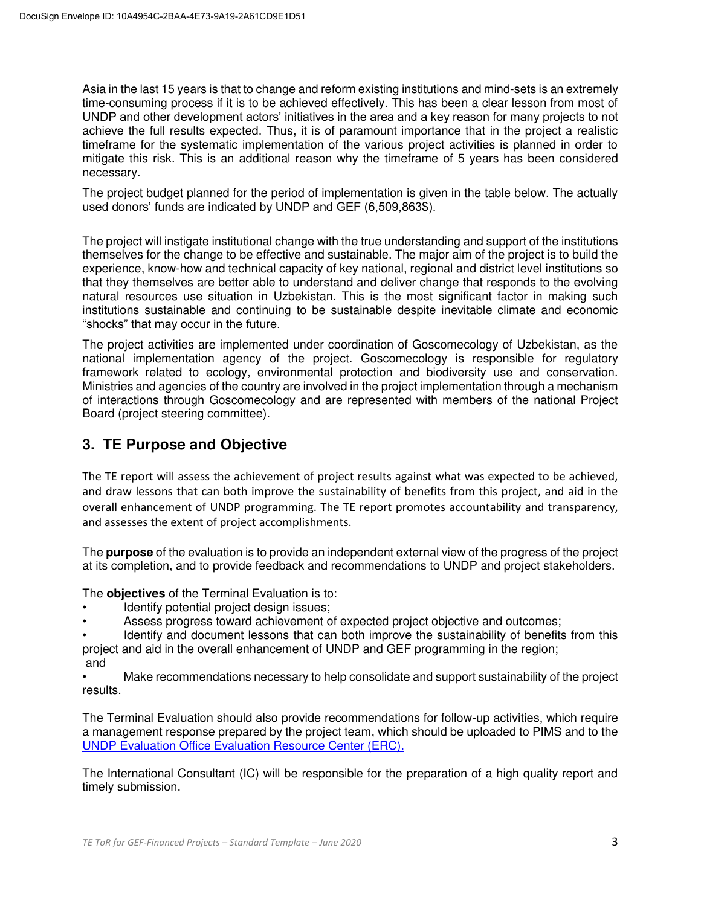Asia in the last 15 years is that to change and reform existing institutions and mind-sets is an extremely time-consuming process if it is to be achieved effectively. This has been a clear lesson from most of UNDP and other development actors' initiatives in the area and a key reason for many projects to not achieve the full results expected. Thus, it is of paramount importance that in the project a realistic timeframe for the systematic implementation of the various project activities is planned in order to mitigate this risk. This is an additional reason why the timeframe of 5 years has been considered necessary.

The project budget planned for the period of implementation is given in the table below. The actually used donors' funds are indicated by UNDP and GEF (6,509,863\$).

The project will instigate institutional change with the true understanding and support of the institutions themselves for the change to be effective and sustainable. The major aim of the project is to build the experience, know-how and technical capacity of key national, regional and district level institutions so that they themselves are better able to understand and deliver change that responds to the evolving natural resources use situation in Uzbekistan. This is the most significant factor in making such institutions sustainable and continuing to be sustainable despite inevitable climate and economic "shocks" that may occur in the future.

The project activities are implemented under coordination of Goscomecology of Uzbekistan, as the national implementation agency of the project. Goscomecology is responsible for regulatory framework related to ecology, environmental protection and biodiversity use and conservation. Ministries and agencies of the country are involved in the project implementation through a mechanism of interactions through Goscomecology and are represented with members of the national Project Board (project steering committee).

### **3. TE Purpose and Objective**

The TE report will assess the achievement of project results against what was expected to be achieved, and draw lessons that can both improve the sustainability of benefits from this project, and aid in the overall enhancement of UNDP programming. The TE report promotes accountability and transparency, and assesses the extent of project accomplishments.

The **purpose** of the evaluation is to provide an independent external view of the progress of the project at its completion, and to provide feedback and recommendations to UNDP and project stakeholders.

The **objectives** of the Terminal Evaluation is to:

- Identify potential project design issues;
- Assess progress toward achievement of expected project objective and outcomes;

Identify and document lessons that can both improve the sustainability of benefits from this project and aid in the overall enhancement of UNDP and GEF programming in the region; and

• Make recommendations necessary to help consolidate and support sustainability of the project results.

The Terminal Evaluation should also provide recommendations for follow-up activities, which require a management response prepared by the project team, which should be uploaded to PIMS and to the [UNDP Evaluation Office Evaluation Resource Center \(ERC\).](https://erc.undp.org/) 

The International Consultant (IC) will be responsible for the preparation of a high quality report and timely submission.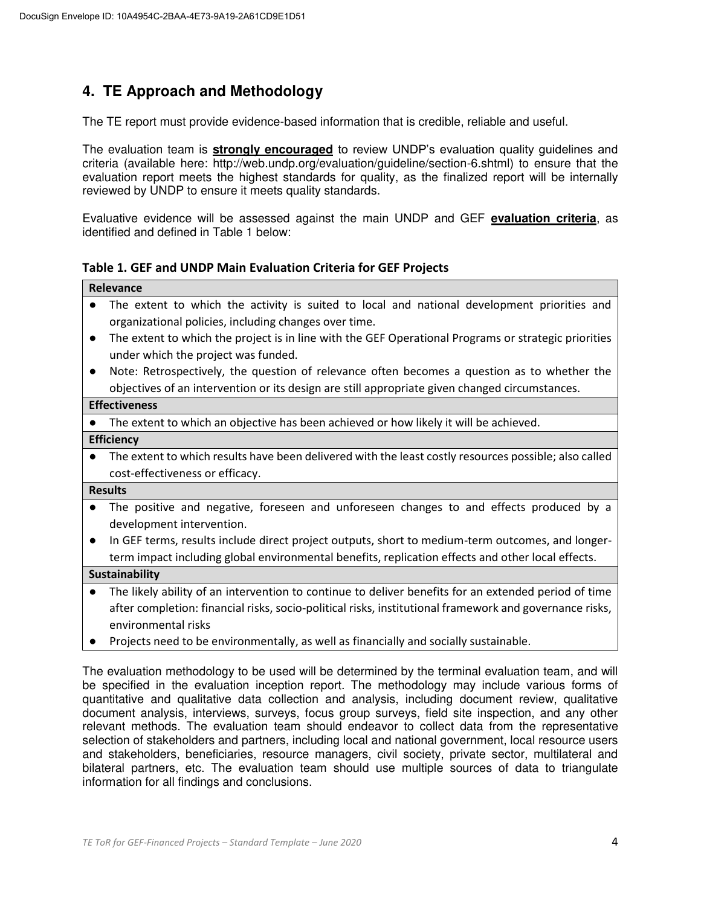## **4. TE Approach and Methodology**

The TE report must provide evidence-based information that is credible, reliable and useful.

The evaluation team is **strongly encouraged** to review UNDP's evaluation quality guidelines and criteria (available here: http://web.undp.org/evaluation/guideline/section-6.shtml) to ensure that the evaluation report meets the highest standards for quality, as the finalized report will be internally reviewed by UNDP to ensure it meets quality standards.

Evaluative evidence will be assessed against the main UNDP and GEF **evaluation criteria**, as identified and defined in Table 1 below:

**Table 1. GEF and UNDP Main Evaluation Criteria for GEF Projects** 

|           | Relevance                                                                                               |
|-----------|---------------------------------------------------------------------------------------------------------|
|           | The extent to which the activity is suited to local and national development priorities and             |
|           | organizational policies, including changes over time.                                                   |
| $\bullet$ | The extent to which the project is in line with the GEF Operational Programs or strategic priorities    |
|           | under which the project was funded.                                                                     |
| $\bullet$ | Note: Retrospectively, the question of relevance often becomes a question as to whether the             |
|           | objectives of an intervention or its design are still appropriate given changed circumstances.          |
|           | <b>Effectiveness</b>                                                                                    |
|           | The extent to which an objective has been achieved or how likely it will be achieved.                   |
|           | <b>Efficiency</b>                                                                                       |
| $\bullet$ | The extent to which results have been delivered with the least costly resources possible; also called   |
|           | cost-effectiveness or efficacy.                                                                         |
|           | <b>Results</b>                                                                                          |
| $\bullet$ | The positive and negative, foreseen and unforeseen changes to and effects produced by a                 |
|           | development intervention.                                                                               |
|           | In GEF terms, results include direct project outputs, short to medium-term outcomes, and longer-        |
|           | term impact including global environmental benefits, replication effects and other local effects.       |
|           | <b>Sustainability</b>                                                                                   |
| $\bullet$ | The likely ability of an intervention to continue to deliver benefits for an extended period of time    |
|           | after completion: financial risks, socio-political risks, institutional framework and governance risks, |
|           | environmental risks                                                                                     |
|           |                                                                                                         |

Projects need to be environmentally, as well as financially and socially sustainable.

The evaluation methodology to be used will be determined by the terminal evaluation team, and will be specified in the evaluation inception report. The methodology may include various forms of quantitative and qualitative data collection and analysis, including document review, qualitative document analysis, interviews, surveys, focus group surveys, field site inspection, and any other relevant methods. The evaluation team should endeavor to collect data from the representative selection of stakeholders and partners, including local and national government, local resource users and stakeholders, beneficiaries, resource managers, civil society, private sector, multilateral and bilateral partners, etc. The evaluation team should use multiple sources of data to triangulate information for all findings and conclusions.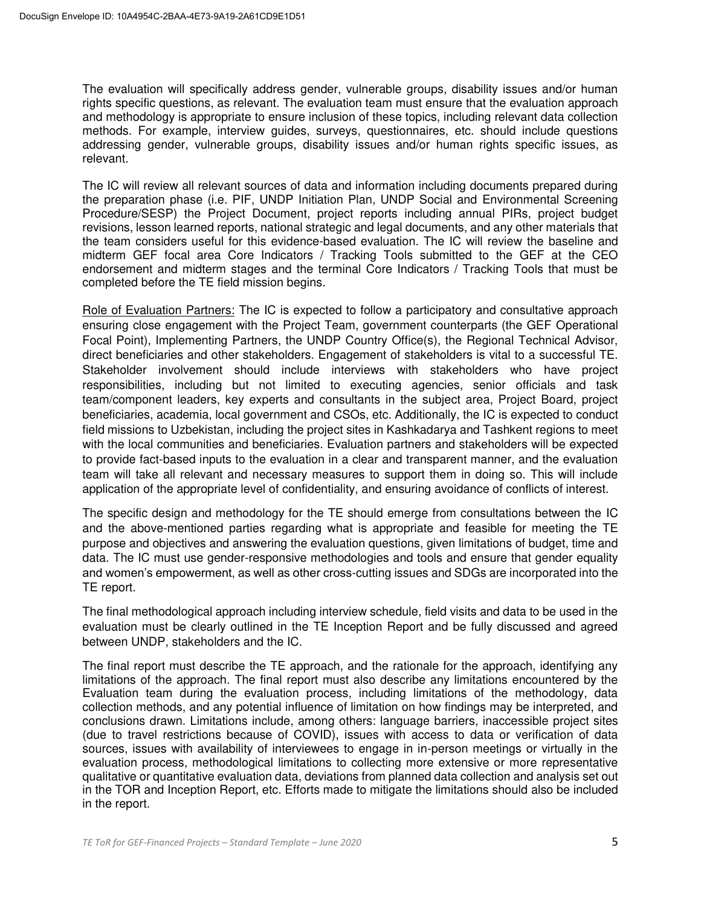The evaluation will specifically address gender, vulnerable groups, disability issues and/or human rights specific questions, as relevant. The evaluation team must ensure that the evaluation approach and methodology is appropriate to ensure inclusion of these topics, including relevant data collection methods. For example, interview guides, surveys, questionnaires, etc. should include questions addressing gender, vulnerable groups, disability issues and/or human rights specific issues, as relevant.

The IC will review all relevant sources of data and information including documents prepared during the preparation phase (i.e. PIF, UNDP Initiation Plan, UNDP Social and Environmental Screening Procedure/SESP) the Project Document, project reports including annual PIRs, project budget revisions, lesson learned reports, national strategic and legal documents, and any other materials that the team considers useful for this evidence-based evaluation. The IC will review the baseline and midterm GEF focal area Core Indicators / Tracking Tools submitted to the GEF at the CEO endorsement and midterm stages and the terminal Core Indicators / Tracking Tools that must be completed before the TE field mission begins.

Role of Evaluation Partners: The IC is expected to follow a participatory and consultative approach ensuring close engagement with the Project Team, government counterparts (the GEF Operational Focal Point), Implementing Partners, the UNDP Country Office(s), the Regional Technical Advisor, direct beneficiaries and other stakeholders. Engagement of stakeholders is vital to a successful TE. Stakeholder involvement should include interviews with stakeholders who have project responsibilities, including but not limited to executing agencies, senior officials and task team/component leaders, key experts and consultants in the subject area, Project Board, project beneficiaries, academia, local government and CSOs, etc. Additionally, the IC is expected to conduct field missions to Uzbekistan, including the project sites in Kashkadarya and Tashkent regions to meet with the local communities and beneficiaries. Evaluation partners and stakeholders will be expected to provide fact-based inputs to the evaluation in a clear and transparent manner, and the evaluation team will take all relevant and necessary measures to support them in doing so. This will include application of the appropriate level of confidentiality, and ensuring avoidance of conflicts of interest.

The specific design and methodology for the TE should emerge from consultations between the IC and the above-mentioned parties regarding what is appropriate and feasible for meeting the TE purpose and objectives and answering the evaluation questions, given limitations of budget, time and data. The IC must use gender-responsive methodologies and tools and ensure that gender equality and women's empowerment, as well as other cross-cutting issues and SDGs are incorporated into the TE report.

The final methodological approach including interview schedule, field visits and data to be used in the evaluation must be clearly outlined in the TE Inception Report and be fully discussed and agreed between UNDP, stakeholders and the IC.

The final report must describe the TE approach, and the rationale for the approach, identifying any limitations of the approach. The final report must also describe any limitations encountered by the Evaluation team during the evaluation process, including limitations of the methodology, data collection methods, and any potential influence of limitation on how findings may be interpreted, and conclusions drawn. Limitations include, among others: language barriers, inaccessible project sites (due to travel restrictions because of COVID), issues with access to data or verification of data sources, issues with availability of interviewees to engage in in-person meetings or virtually in the evaluation process, methodological limitations to collecting more extensive or more representative qualitative or quantitative evaluation data, deviations from planned data collection and analysis set out in the TOR and Inception Report, etc. Efforts made to mitigate the limitations should also be included in the report.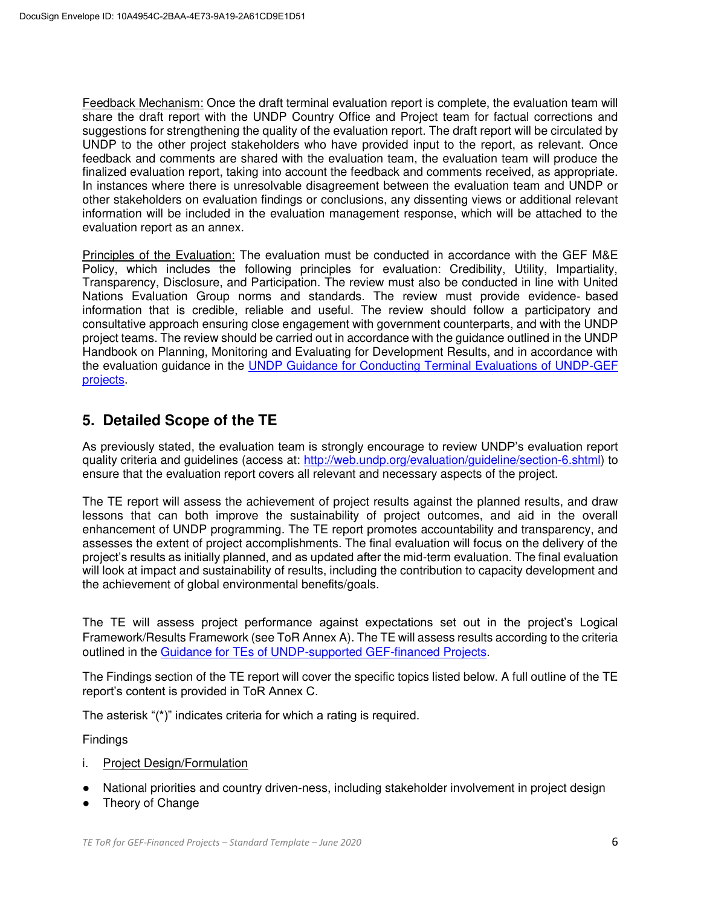Feedback Mechanism: Once the draft terminal evaluation report is complete, the evaluation team will share the draft report with the UNDP Country Office and Project team for factual corrections and suggestions for strengthening the quality of the evaluation report. The draft report will be circulated by UNDP to the other project stakeholders who have provided input to the report, as relevant. Once feedback and comments are shared with the evaluation team, the evaluation team will produce the finalized evaluation report, taking into account the feedback and comments received, as appropriate. In instances where there is unresolvable disagreement between the evaluation team and UNDP or other stakeholders on evaluation findings or conclusions, any dissenting views or additional relevant information will be included in the evaluation management response, which will be attached to the evaluation report as an annex.

Principles of the Evaluation: The evaluation must be conducted in accordance with the GEF M&E Policy, which includes the following principles for evaluation: Credibility, Utility, Impartiality, Transparency, Disclosure, and Participation. The review must also be conducted in line with United Nations Evaluation Group norms and standards. The review must provide evidence‐ based information that is credible, reliable and useful. The review should follow a participatory and consultative approach ensuring close engagement with government counterparts, and with the UNDP project teams. The review should be carried out in accordance with the guidance outlined in the UNDP Handbook on Planning, Monitoring and Evaluating for Development Results, and in accordance with the evaluation guidance in the [UNDP Guidance for Conducting Terminal Evaluations of UNDP-GEF](http://web.undp.org/evaluation/guideline/documents/GEF/TE_GuidanceforUNDP-supportedGEF-financedProjects.pdf)  [projects.](http://web.undp.org/evaluation/guideline/documents/GEF/TE_GuidanceforUNDP-supportedGEF-financedProjects.pdf)

### **5. Detailed Scope of the TE**

As previously stated, the evaluation team is strongly encourage to review UNDP's evaluation report quality criteria and guidelines (access at: [http://web.undp.org/evaluation/guideline/section-6.shtml\)](http://web.undp.org/evaluation/guideline/section-6.shtml) to ensure that the evaluation report covers all relevant and necessary aspects of the project.

The TE report will assess the achievement of project results against the planned results, and draw lessons that can both improve the sustainability of project outcomes, and aid in the overall enhancement of UNDP programming. The TE report promotes accountability and transparency, and assesses the extent of project accomplishments. The final evaluation will focus on the delivery of the project's results as initially planned, and as updated after the mid-term evaluation. The final evaluation will look at impact and sustainability of results, including the contribution to capacity development and the achievement of global environmental benefits/goals.

The TE will assess project performance against expectations set out in the project's Logical Framework/Results Framework (see ToR Annex A). The TE will assess results according to the criteria outlined in the [Guidance for TEs of UNDP-supported GEF-financed Projects.](http://web.undp.org/evaluation/guideline/documents/GEF/TE_GuidanceforUNDP-supportedGEF-financedProjects.pdf)

The Findings section of the TE report will cover the specific topics listed below. A full outline of the TE report's content is provided in ToR Annex C.

The asterisk "(\*)" indicates criteria for which a rating is required.

Findings

- i. Project Design/Formulation
- National priorities and country driven-ness, including stakeholder involvement in project design
- Theory of Change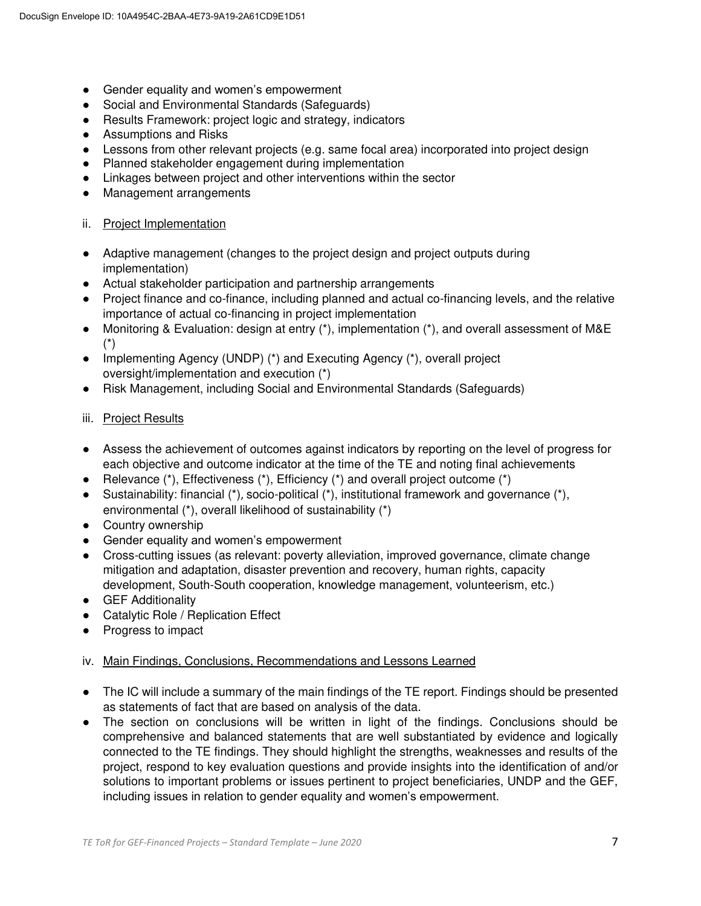- Gender equality and women's empowerment
- Social and Environmental Standards (Safeguards)
- Results Framework: project logic and strategy, indicators
- Assumptions and Risks
- Lessons from other relevant projects (e.g. same focal area) incorporated into project design
- Planned stakeholder engagement during implementation
- Linkages between project and other interventions within the sector
- Management arrangements

### ii. Project Implementation

- Adaptive management (changes to the project design and project outputs during implementation)
- Actual stakeholder participation and partnership arrangements
- Project finance and co-finance, including planned and actual co-financing levels, and the relative importance of actual co-financing in project implementation
- Monitoring & Evaluation: design at entry (\*), implementation (\*), and overall assessment of M&E (\*)
- Implementing Agency (UNDP) (\*) and Executing Agency (\*), overall project oversight/implementation and execution (\*)
- Risk Management, including Social and Environmental Standards (Safeguards)
- iii. Project Results
- Assess the achievement of outcomes against indicators by reporting on the level of progress for each objective and outcome indicator at the time of the TE and noting final achievements
- Relevance  $(*)$ , Effectiveness  $(*)$ , Efficiency  $(*)$  and overall project outcome  $(*)$
- Sustainability: financial  $(*)$ , socio-political  $(*)$ , institutional framework and governance  $(*)$ , environmental (\*), overall likelihood of sustainability (\*)
- Country ownership
- Gender equality and women's empowerment
- Cross-cutting issues (as relevant: poverty alleviation, improved governance, climate change mitigation and adaptation, disaster prevention and recovery, human rights, capacity development, South-South cooperation, knowledge management, volunteerism, etc.)
- GEF Additionality
- Catalytic Role / Replication Effect
- Progress to impact

#### iv. Main Findings, Conclusions, Recommendations and Lessons Learned

- The IC will include a summary of the main findings of the TE report. Findings should be presented as statements of fact that are based on analysis of the data.
- The section on conclusions will be written in light of the findings. Conclusions should be comprehensive and balanced statements that are well substantiated by evidence and logically connected to the TE findings. They should highlight the strengths, weaknesses and results of the project, respond to key evaluation questions and provide insights into the identification of and/or solutions to important problems or issues pertinent to project beneficiaries, UNDP and the GEF, including issues in relation to gender equality and women's empowerment.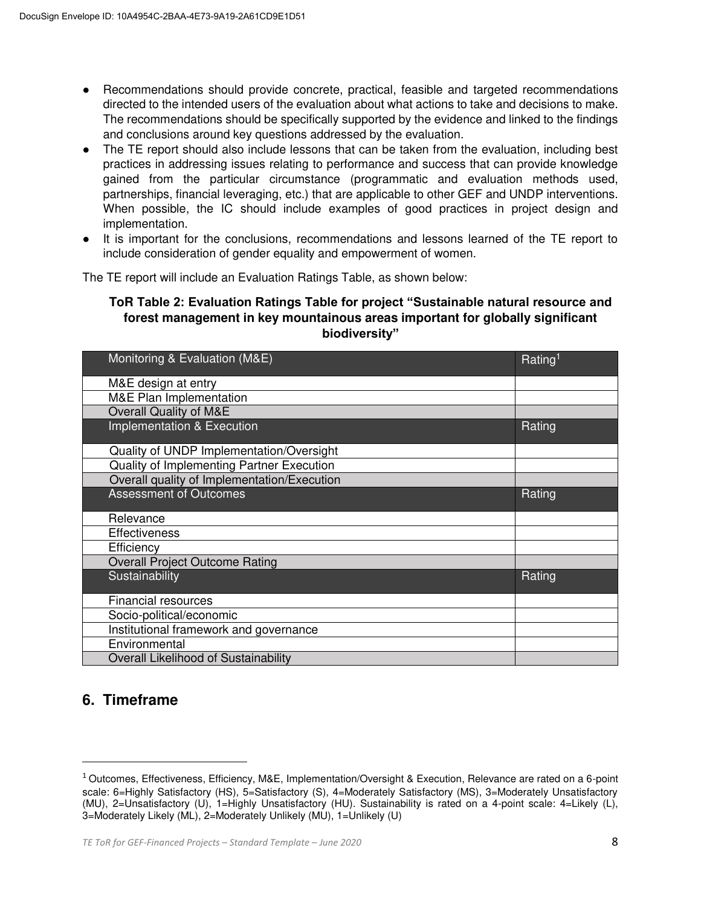- Recommendations should provide concrete, practical, feasible and targeted recommendations directed to the intended users of the evaluation about what actions to take and decisions to make. The recommendations should be specifically supported by the evidence and linked to the findings and conclusions around key questions addressed by the evaluation.
- The TE report should also include lessons that can be taken from the evaluation, including best practices in addressing issues relating to performance and success that can provide knowledge gained from the particular circumstance (programmatic and evaluation methods used, partnerships, financial leveraging, etc.) that are applicable to other GEF and UNDP interventions. When possible, the IC should include examples of good practices in project design and implementation.
- It is important for the conclusions, recommendations and lessons learned of the TE report to include consideration of gender equality and empowerment of women.

The TE report will include an Evaluation Ratings Table, as shown below:

### **ToR Table 2: Evaluation Ratings Table for project "Sustainable natural resource and forest management in key mountainous areas important for globally significant biodiversity"**

| Monitoring & Evaluation (M&E)               | Rating <sup>1</sup> |
|---------------------------------------------|---------------------|
| M&E design at entry                         |                     |
| <b>M&amp;E Plan Implementation</b>          |                     |
| Overall Quality of M&E                      |                     |
| Implementation & Execution                  | Rating              |
| Quality of UNDP Implementation/Oversight    |                     |
| Quality of Implementing Partner Execution   |                     |
| Overall quality of Implementation/Execution |                     |
| <b>Assessment of Outcomes</b>               | Rating              |
| Relevance                                   |                     |
| <b>Effectiveness</b>                        |                     |
| Efficiency                                  |                     |
| <b>Overall Project Outcome Rating</b>       |                     |
| Sustainability                              | Rating              |
| <b>Financial resources</b>                  |                     |
| Socio-political/economic                    |                     |
| Institutional framework and governance      |                     |
| Environmental                               |                     |
| Overall Likelihood of Sustainability        |                     |

### **6. Timeframe**

 $\overline{\phantom{0}}$ 

 $1$  Outcomes, Effectiveness, Efficiency, M&E, Implementation/Oversight & Execution, Relevance are rated on a 6-point scale: 6=Highly Satisfactory (HS), 5=Satisfactory (S), 4=Moderately Satisfactory (MS), 3=Moderately Unsatisfactory (MU), 2=Unsatisfactory (U), 1=Highly Unsatisfactory (HU). Sustainability is rated on a 4-point scale: 4=Likely (L), 3=Moderately Likely (ML), 2=Moderately Unlikely (MU), 1=Unlikely (U)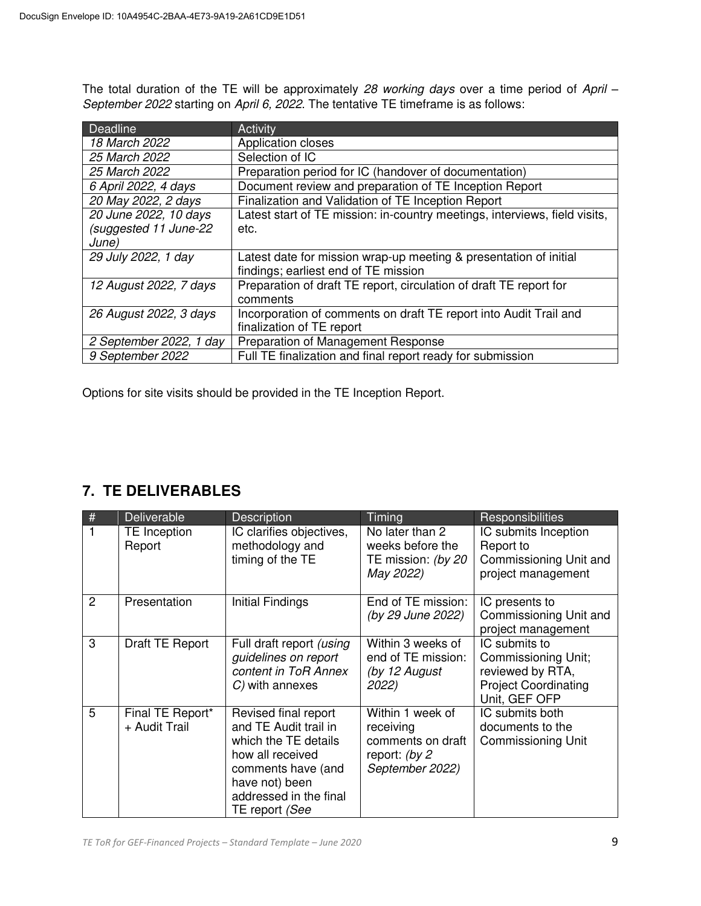The total duration of the TE will be approximately *28 working days* over a time period of *April – September 2022* starting on *April 6, 2022*. The tentative TE timeframe is as follows:

| Deadline                | Activity                                                                   |
|-------------------------|----------------------------------------------------------------------------|
| 18 March 2022           | Application closes                                                         |
| 25 March 2022           | Selection of IC                                                            |
| 25 March 2022           | Preparation period for IC (handover of documentation)                      |
| 6 April 2022, 4 days    | Document review and preparation of TE Inception Report                     |
| 20 May 2022, 2 days     | Finalization and Validation of TE Inception Report                         |
| 20 June 2022, 10 days   | Latest start of TE mission: in-country meetings, interviews, field visits, |
| (suggested 11 June-22   | etc.                                                                       |
| June)                   |                                                                            |
| 29 July 2022, 1 day     | Latest date for mission wrap-up meeting & presentation of initial          |
|                         | findings; earliest end of TE mission                                       |
| 12 August 2022, 7 days  | Preparation of draft TE report, circulation of draft TE report for         |
|                         | comments                                                                   |
| 26 August 2022, 3 days  | Incorporation of comments on draft TE report into Audit Trail and          |
|                         | finalization of TE report                                                  |
| 2 September 2022, 1 day | Preparation of Management Response                                         |
| 9 September 2022        | Full TE finalization and final report ready for submission                 |

Options for site visits should be provided in the TE Inception Report.

## **7. TE DELIVERABLES**

| #              | <b>Deliverable</b>                | <b>Description</b>                                                                                                                                                            | Timing                                                                                 | Responsibilities                                                                                         |
|----------------|-----------------------------------|-------------------------------------------------------------------------------------------------------------------------------------------------------------------------------|----------------------------------------------------------------------------------------|----------------------------------------------------------------------------------------------------------|
|                | TE Inception<br>Report            | IC clarifies objectives,<br>methodology and<br>timing of the TE                                                                                                               | No later than 2<br>weeks before the<br>TE mission: (by 20<br>May 2022)                 | IC submits Inception<br>Report to<br>Commissioning Unit and<br>project management                        |
| $\overline{2}$ | Presentation                      | Initial Findings                                                                                                                                                              | End of TE mission:<br>(by 29 June 2022)                                                | IC presents to<br>Commissioning Unit and<br>project management                                           |
| 3              | Draft TE Report                   | Full draft report (using<br>guidelines on report<br>content in ToR Annex<br>$C$ ) with annexes                                                                                | Within 3 weeks of<br>end of TE mission:<br>(by 12 August<br>2022)                      | IC submits to<br>Commissioning Unit;<br>reviewed by RTA,<br><b>Project Coordinating</b><br>Unit, GEF OFP |
| 5              | Final TE Report*<br>+ Audit Trail | Revised final report<br>and TE Audit trail in<br>which the TE details<br>how all received<br>comments have (and<br>have not) been<br>addressed in the final<br>TE report (See | Within 1 week of<br>receiving<br>comments on draft<br>report: (by 2<br>September 2022) | IC submits both<br>documents to the<br>Commissioning Unit                                                |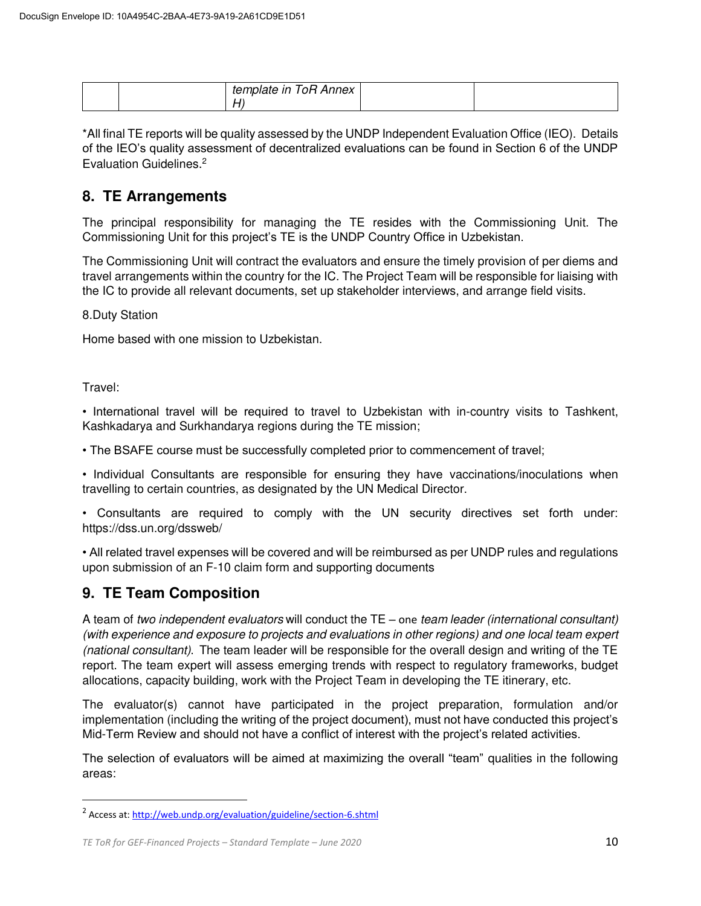| -<br>$\blacksquare$ . The contract of the contract of the contract of the contract of the contract of the contract of the contract of the contract of the contract of the contract of the contract of the contract of the contract of the<br>template in<br>ОH<br>Annex<br>ιe |  |
|-------------------------------------------------------------------------------------------------------------------------------------------------------------------------------------------------------------------------------------------------------------------------------|--|
|                                                                                                                                                                                                                                                                               |  |

\*All final TE reports will be quality assessed by the UNDP Independent Evaluation Office (IEO). Details of the IEO's quality assessment of decentralized evaluations can be found in Section 6 of the UNDP Evaluation Guidelines. 2

### **8. TE Arrangements**

The principal responsibility for managing the TE resides with the Commissioning Unit. The Commissioning Unit for this project's TE is the UNDP Country Office in Uzbekistan.

The Commissioning Unit will contract the evaluators and ensure the timely provision of per diems and travel arrangements within the country for the IC. The Project Team will be responsible for liaising with the IC to provide all relevant documents, set up stakeholder interviews, and arrange field visits.

8.Duty Station

Home based with one mission to Uzbekistan.

Travel:

 $\overline{\phantom{0}}$ 

• International travel will be required to travel to Uzbekistan with in-country visits to Tashkent, Kashkadarya and Surkhandarya regions during the TE mission;

• The BSAFE course must be successfully completed prior to commencement of travel;

• Individual Consultants are responsible for ensuring they have vaccinations/inoculations when travelling to certain countries, as designated by the UN Medical Director.

• Consultants are required to comply with the UN security directives set forth under: https://dss.un.org/dssweb/

• All related travel expenses will be covered and will be reimbursed as per UNDP rules and regulations upon submission of an F-10 claim form and supporting documents

### **9. TE Team Composition**

A team of *two independent evaluators* will conduct the TE – one *team leader (international consultant) (with experience and exposure to projects and evaluations in other regions) and one local team expert (national consultant)*. The team leader will be responsible for the overall design and writing of the TE report. The team expert will assess emerging trends with respect to regulatory frameworks, budget allocations, capacity building, work with the Project Team in developing the TE itinerary, etc.

The evaluator(s) cannot have participated in the project preparation, formulation and/or implementation (including the writing of the project document), must not have conducted this project's Mid-Term Review and should not have a conflict of interest with the project's related activities.

The selection of evaluators will be aimed at maximizing the overall "team" qualities in the following areas:

<sup>&</sup>lt;sup>2</sup> Access at: http://web.undp.org/evaluation/guideline/section-6.shtml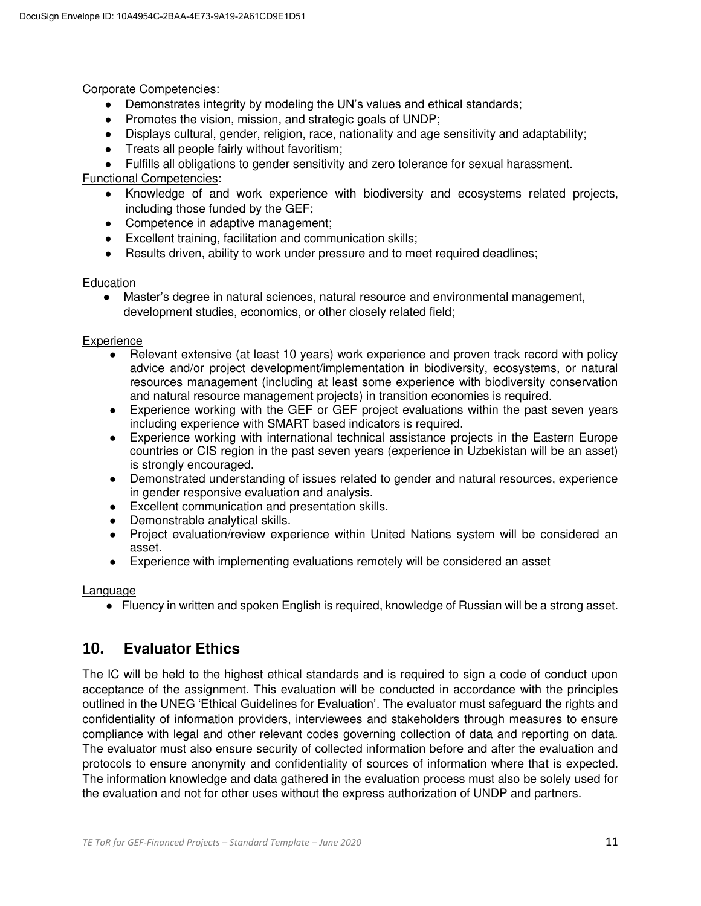Corporate Competencies:

- Demonstrates integrity by modeling the UN's values and ethical standards;
- Promotes the vision, mission, and strategic goals of UNDP;
- Displays cultural, gender, religion, race, nationality and age sensitivity and adaptability;
- Treats all people fairly without favoritism;
- Fulfills all obligations to gender sensitivity and zero tolerance for sexual harassment.

### Functional Competencies:

- Knowledge of and work experience with biodiversity and ecosystems related projects, including those funded by the GEF;
- Competence in adaptive management;
- Excellent training, facilitation and communication skills;
- Results driven, ability to work under pressure and to meet required deadlines;

#### **Education**

● Master's degree in natural sciences, natural resource and environmental management, development studies, economics, or other closely related field;

#### **Experience**

- Relevant extensive (at least 10 years) work experience and proven track record with policy advice and/or project development/implementation in biodiversity, ecosystems, or natural resources management (including at least some experience with biodiversity conservation and natural resource management projects) in transition economies is required.
- Experience working with the GEF or GEF project evaluations within the past seven years including experience with SMART based indicators is required.
- Experience working with international technical assistance projects in the Eastern Europe countries or CIS region in the past seven years (experience in Uzbekistan will be an asset) is strongly encouraged.
- Demonstrated understanding of issues related to gender and natural resources, experience in gender responsive evaluation and analysis.
- Excellent communication and presentation skills.
- Demonstrable analytical skills.
- Project evaluation/review experience within United Nations system will be considered an asset.
- Experience with implementing evaluations remotely will be considered an asset

#### Language

● Fluency in written and spoken English is required, knowledge of Russian will be a strong asset.

### **10. Evaluator Ethics**

The IC will be held to the highest ethical standards and is required to sign a code of conduct upon acceptance of the assignment. This evaluation will be conducted in accordance with the principles outlined in the UNEG 'Ethical Guidelines for Evaluation'. The evaluator must safeguard the rights and confidentiality of information providers, interviewees and stakeholders through measures to ensure compliance with legal and other relevant codes governing collection of data and reporting on data. The evaluator must also ensure security of collected information before and after the evaluation and protocols to ensure anonymity and confidentiality of sources of information where that is expected. The information knowledge and data gathered in the evaluation process must also be solely used for the evaluation and not for other uses without the express authorization of UNDP and partners.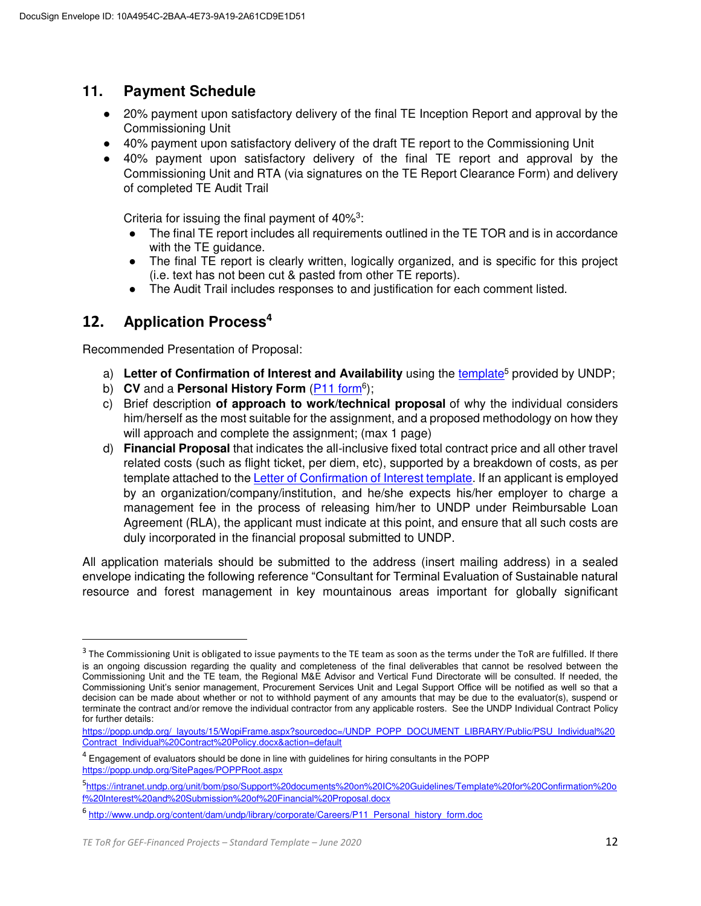### **11. Payment Schedule**

- 20% payment upon satisfactory delivery of the final TE Inception Report and approval by the Commissioning Unit
- 40% payment upon satisfactory delivery of the draft TE report to the Commissioning Unit
- 40% payment upon satisfactory delivery of the final TE report and approval by the Commissioning Unit and RTA (via signatures on the TE Report Clearance Form) and delivery of completed TE Audit Trail

Criteria for issuing the final payment of  $40\%$ <sup>3</sup>:

- The final TE report includes all requirements outlined in the TE TOR and is in accordance with the TE quidance.
- The final TE report is clearly written, logically organized, and is specific for this project (i.e. text has not been cut & pasted from other TE reports).
- The Audit Trail includes responses to and justification for each comment listed.

### **12. Application Process<sup>4</sup>**

 $\overline{a}$ 

Recommended Presentation of Proposal:

- a) Letter of Confirmation of Interest and Availability using the [template](https://intranet.undp.org/unit/bom/pso/Support%20documents%20on%20IC%20Guidelines/Template%20for%20Confirmation%20of%20Interest%20and%20Submission%20of%20Financial%20Proposal.docx)<sup>5</sup> provided by UNDP;
- b) CV and a Personal History Form (**P11 form**<sup>6</sup>);
- c) Brief description **of approach to work/technical proposal** of why the individual considers him/herself as the most suitable for the assignment, and a proposed methodology on how they will approach and complete the assignment; (max 1 page)
- d) **Financial Proposal** that indicates the all-inclusive fixed total contract price and all other travel related costs (such as flight ticket, per diem, etc), supported by a breakdown of costs, as per template attached to the **Letter of Confirmation of Interest template**. If an applicant is employed by an organization/company/institution, and he/she expects his/her employer to charge a management fee in the process of releasing him/her to UNDP under Reimbursable Loan Agreement (RLA), the applicant must indicate at this point, and ensure that all such costs are duly incorporated in the financial proposal submitted to UNDP.

All application materials should be submitted to the address (insert mailing address) in a sealed envelope indicating the following reference "Consultant for Terminal Evaluation of Sustainable natural resource and forest management in key mountainous areas important for globally significant

 $^3$  The Commissioning Unit is obligated to issue payments to the TE team as soon as the terms under the ToR are fulfilled. If there is an ongoing discussion regarding the quality and completeness of the final deliverables that cannot be resolved between the Commissioning Unit and the TE team, the Regional M&E Advisor and Vertical Fund Directorate will be consulted. If needed, the Commissioning Unit's senior management, Procurement Services Unit and Legal Support Office will be notified as well so that a decision can be made about whether or not to withhold payment of any amounts that may be due to the evaluator(s), suspend or terminate the contract and/or remove the individual contractor from any applicable rosters. See the UNDP Individual Contract Policy for further details:

[https://popp.undp.org/\\_layouts/15/WopiFrame.aspx?sourcedoc=/UNDP\\_POPP\\_DOCUMENT\\_LIBRARY/Public/PSU\\_Individual%20](https://popp.undp.org/_layouts/15/WopiFrame.aspx?sourcedoc=/UNDP_POPP_DOCUMENT_LIBRARY/Public/PSU_Individual%20Contract_Individual%20Contract%20Policy.docx&action=default) [Contract\\_Individual%20Contract%20Policy.docx&action=default](https://popp.undp.org/_layouts/15/WopiFrame.aspx?sourcedoc=/UNDP_POPP_DOCUMENT_LIBRARY/Public/PSU_Individual%20Contract_Individual%20Contract%20Policy.docx&action=default)

<sup>&</sup>lt;sup>4</sup> Engagement of evaluators should be done in line with guidelines for hiring consultants in the POPP <https://popp.undp.org/SitePages/POPPRoot.aspx>

<sup>5</sup> [https://intranet.undp.org/unit/bom/pso/Support%20documents%20on%20IC%20Guidelines/Template%20for%20Confirmation%20o](https://intranet.undp.org/unit/bom/pso/Support%20documents%20on%20IC%20Guidelines/Template%20for%20Confirmation%20of%20Interest%20and%20Submission%20of%20Financial%20Proposal.docx) [f%20Interest%20and%20Submission%20of%20Financial%20Proposal.docx](https://intranet.undp.org/unit/bom/pso/Support%20documents%20on%20IC%20Guidelines/Template%20for%20Confirmation%20of%20Interest%20and%20Submission%20of%20Financial%20Proposal.docx) 

<sup>&</sup>lt;sup>6</sup> [http://www.undp.org/content/dam/undp/library/corporate/Careers/P11\\_Personal\\_history\\_form.doc](http://www.undp.org/content/dam/undp/library/corporate/Careers/P11_Personal_history_form.doc)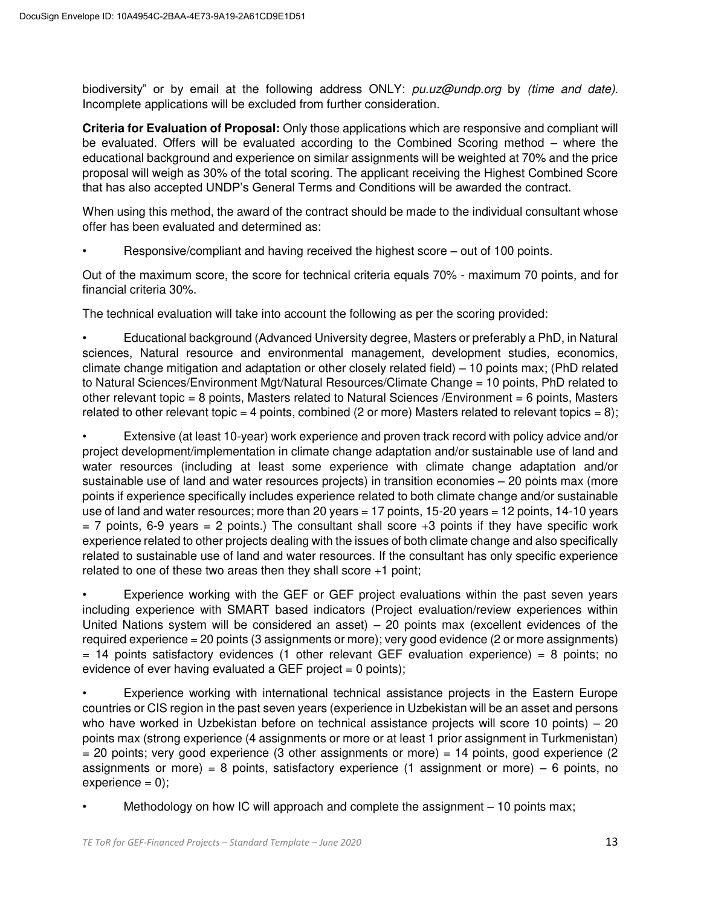biodiversity" or by email at the following address ONLY: *pu.uz@undp.org* by *(time and date)*. Incomplete applications will be excluded from further consideration.

**Criteria for Evaluation of Proposal:** Only those applications which are responsive and compliant will be evaluated. Offers will be evaluated according to the Combined Scoring method – where the educational background and experience on similar assignments will be weighted at 70% and the price proposal will weigh as 30% of the total scoring. The applicant receiving the Highest Combined Score that has also accepted UNDP's General Terms and Conditions will be awarded the contract.

When using this method, the award of the contract should be made to the individual consultant whose offer has been evaluated and determined as:

• Responsive/compliant and having received the highest score – out of 100 points.

Out of the maximum score, the score for technical criteria equals 70% - maximum 70 points, and for financial criteria 30%.

The technical evaluation will take into account the following as per the scoring provided:

• Educational background (Advanced University degree, Masters or preferably a PhD, in Natural sciences, Natural resource and environmental management, development studies, economics, climate change mitigation and adaptation or other closely related field) – 10 points max; (PhD related to Natural Sciences/Environment Mgt/Natural Resources/Climate Change = 10 points, PhD related to other relevant topic = 8 points, Masters related to Natural Sciences /Environment = 6 points, Masters related to other relevant topic = 4 points, combined (2 or more) Masters related to relevant topics = 8);

• Extensive (at least 10-year) work experience and proven track record with policy advice and/or project development/implementation in climate change adaptation and/or sustainable use of land and water resources (including at least some experience with climate change adaptation and/or sustainable use of land and water resources projects) in transition economies – 20 points max (more points if experience specifically includes experience related to both climate change and/or sustainable use of land and water resources; more than 20 years = 17 points, 15-20 years = 12 points, 14-10 years  $= 7$  points, 6-9 years  $= 2$  points.) The consultant shall score  $+3$  points if they have specific work experience related to other projects dealing with the issues of both climate change and also specifically related to sustainable use of land and water resources. If the consultant has only specific experience related to one of these two areas then they shall score +1 point;

• Experience working with the GEF or GEF project evaluations within the past seven years including experience with SMART based indicators (Project evaluation/review experiences within United Nations system will be considered an asset) – 20 points max (excellent evidences of the required experience = 20 points (3 assignments or more); very good evidence (2 or more assignments)  $= 14$  points satisfactory evidences (1 other relevant GEF evaluation experience) = 8 points; no evidence of ever having evaluated a GEF project  $= 0$  points);

• Experience working with international technical assistance projects in the Eastern Europe countries or CIS region in the past seven years (experience in Uzbekistan will be an asset and persons who have worked in Uzbekistan before on technical assistance projects will score 10 points) – 20 points max (strong experience (4 assignments or more or at least 1 prior assignment in Turkmenistan)  $=$  20 points; very good experience (3 other assignments or more)  $=$  14 points, good experience (2 assignments or more) = 8 points, satisfactory experience (1 assignment or more)  $-6$  points, no  $experience = 0$ ;

• Methodology on how IC will approach and complete the assignment – 10 points max;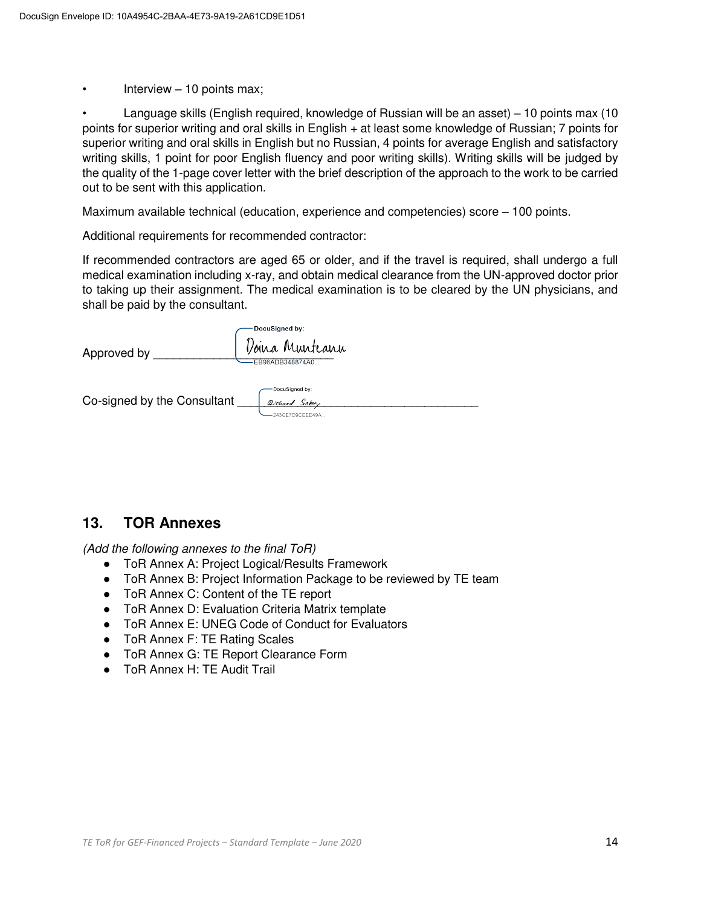Interview  $-10$  points max;

• Language skills (English required, knowledge of Russian will be an asset) – 10 points max (10 points for superior writing and oral skills in English + at least some knowledge of Russian; 7 points for superior writing and oral skills in English but no Russian, 4 points for average English and satisfactory writing skills, 1 point for poor English fluency and poor writing skills). Writing skills will be judged by the quality of the 1-page cover letter with the brief description of the approach to the work to be carried out to be sent with this application.

Maximum available technical (education, experience and competencies) score – 100 points.

Additional requirements for recommended contractor:

If recommended contractors are aged 65 or older, and if the travel is required, shall undergo a full medical examination including x-ray, and obtain medical clearance from the UN-approved doctor prior to taking up their assignment. The medical examination is to be cleared by the UN physicians, and shall be paid by the consultant.

| Approved by                 | DocuSigned by:<br>Doina Munteanu<br>EB96ADB348874A0           |
|-----------------------------|---------------------------------------------------------------|
| Co-signed by the Consultant | DocuSigned by:<br><i>Qichard</i> Sober<br>$-243CE7D9CEEE49A.$ |

### **13. TOR Annexes**

*(Add the following annexes to the final ToR)* 

- ToR Annex A: Project Logical/Results Framework
- ToR Annex B: Project Information Package to be reviewed by TE team
- ToR Annex C: Content of the TE report
- ToR Annex D: Evaluation Criteria Matrix template
- ToR Annex E: UNEG Code of Conduct for Evaluators
- ToR Annex F: TE Rating Scales
- ToR Annex G: TE Report Clearance Form
- ToR Annex H: TE Audit Trail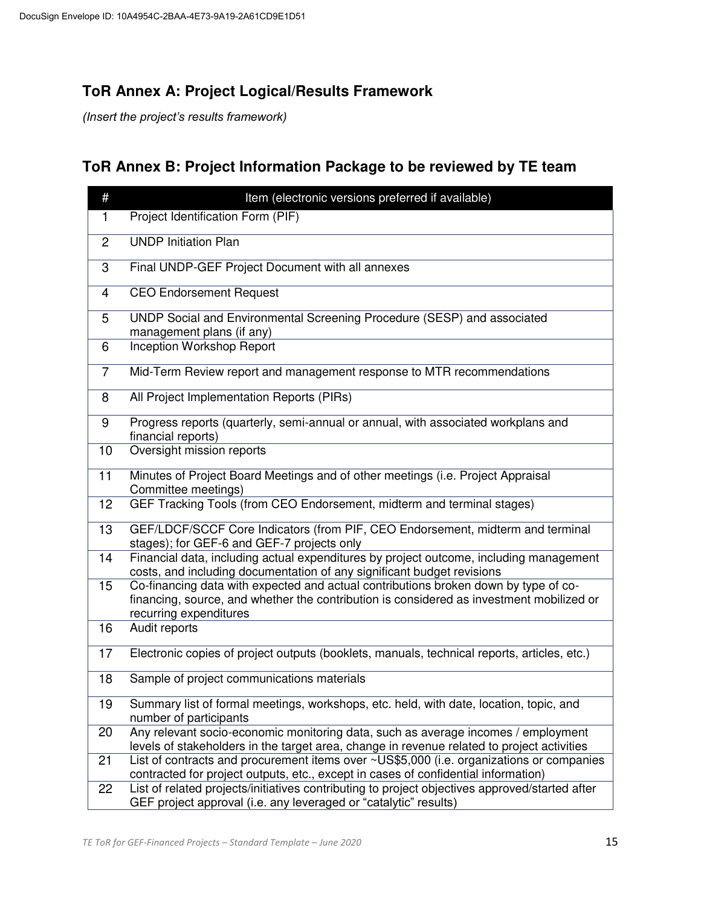# **ToR Annex A: Project Logical/Results Framework**

*(Insert the project's results framework)*

# **ToR Annex B: Project Information Package to be reviewed by TE team**

| #               | Item (electronic versions preferred if available)                                                                                                                                                         |
|-----------------|-----------------------------------------------------------------------------------------------------------------------------------------------------------------------------------------------------------|
| $\mathbf{1}$    | Project Identification Form (PIF)                                                                                                                                                                         |
| $\overline{2}$  | <b>UNDP Initiation Plan</b>                                                                                                                                                                               |
| 3               | Final UNDP-GEF Project Document with all annexes                                                                                                                                                          |
| 4               | <b>CEO Endorsement Request</b>                                                                                                                                                                            |
| 5               | UNDP Social and Environmental Screening Procedure (SESP) and associated<br>management plans (if any)                                                                                                      |
| 6               | <b>Inception Workshop Report</b>                                                                                                                                                                          |
| $\overline{7}$  | Mid-Term Review report and management response to MTR recommendations                                                                                                                                     |
| 8               | All Project Implementation Reports (PIRs)                                                                                                                                                                 |
| 9               | Progress reports (quarterly, semi-annual or annual, with associated workplans and<br>financial reports)                                                                                                   |
| 10              | Oversight mission reports                                                                                                                                                                                 |
| 11              | Minutes of Project Board Meetings and of other meetings (i.e. Project Appraisal<br>Committee meetings)                                                                                                    |
| $\overline{12}$ | GEF Tracking Tools (from CEO Endorsement, midterm and terminal stages)                                                                                                                                    |
| 13              | GEF/LDCF/SCCF Core Indicators (from PIF, CEO Endorsement, midterm and terminal<br>stages); for GEF-6 and GEF-7 projects only                                                                              |
| 14              | Financial data, including actual expenditures by project outcome, including management<br>costs, and including documentation of any significant budget revisions                                          |
| 15              | Co-financing data with expected and actual contributions broken down by type of co-<br>financing, source, and whether the contribution is considered as investment mobilized or<br>recurring expenditures |
| 16              | Audit reports                                                                                                                                                                                             |
| 17              | Electronic copies of project outputs (booklets, manuals, technical reports, articles, etc.)                                                                                                               |
| 18              | Sample of project communications materials                                                                                                                                                                |
| 19              | Summary list of formal meetings, workshops, etc. held, with date, location, topic, and<br>number of participants                                                                                          |
| 20              | Any relevant socio-economic monitoring data, such as average incomes / employment<br>levels of stakeholders in the target area, change in revenue related to project activities                           |
| 21              | List of contracts and procurement items over ~US\$5,000 (i.e. organizations or companies<br>contracted for project outputs, etc., except in cases of confidential information)                            |
| 22              | List of related projects/initiatives contributing to project objectives approved/started after<br>GEF project approval (i.e. any leveraged or "catalytic" results)                                        |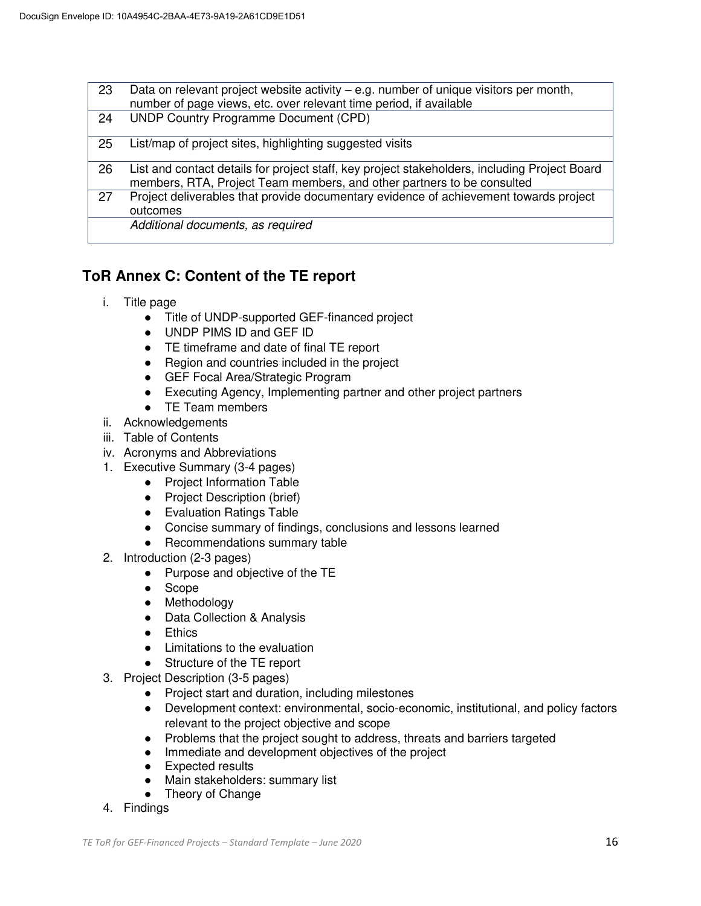| 23 | Data on relevant project website activity – e.g. number of unique visitors per month,<br>number of page views, etc. over relevant time period, if available             |
|----|-------------------------------------------------------------------------------------------------------------------------------------------------------------------------|
| 24 | <b>UNDP Country Programme Document (CPD)</b>                                                                                                                            |
| 25 | List/map of project sites, highlighting suggested visits                                                                                                                |
| 26 | List and contact details for project staff, key project stakeholders, including Project Board<br>members, RTA, Project Team members, and other partners to be consulted |
| 27 | Project deliverables that provide documentary evidence of achievement towards project<br>outcomes                                                                       |
|    | Additional documents, as required                                                                                                                                       |

## **ToR Annex C: Content of the TE report**

- i. Title page
	- Title of UNDP-supported GEF-financed project
	- UNDP PIMS ID and GEF ID
	- TE timeframe and date of final TE report
	- Region and countries included in the project
	- GEF Focal Area/Strategic Program
	- Executing Agency, Implementing partner and other project partners
	- TE Team members
- ii. Acknowledgements
- iii. Table of Contents
- iv. Acronyms and Abbreviations
- 1. Executive Summary (3-4 pages)
	- Project Information Table
	- Project Description (brief)
	- Evaluation Ratings Table
	- Concise summary of findings, conclusions and lessons learned
	- Recommendations summary table
- 2. Introduction (2-3 pages)
	- Purpose and objective of the TE
	- Scope
	- Methodology
	- Data Collection & Analysis
	- Ethics
	- Limitations to the evaluation
	- Structure of the TE report
- 3. Project Description (3-5 pages)
	- Project start and duration, including milestones
	- Development context: environmental, socio-economic, institutional, and policy factors relevant to the project objective and scope
	- Problems that the project sought to address, threats and barriers targeted
	- Immediate and development objectives of the project
	- Expected results
	- Main stakeholders: summary list
	- Theory of Change
- 4. Findings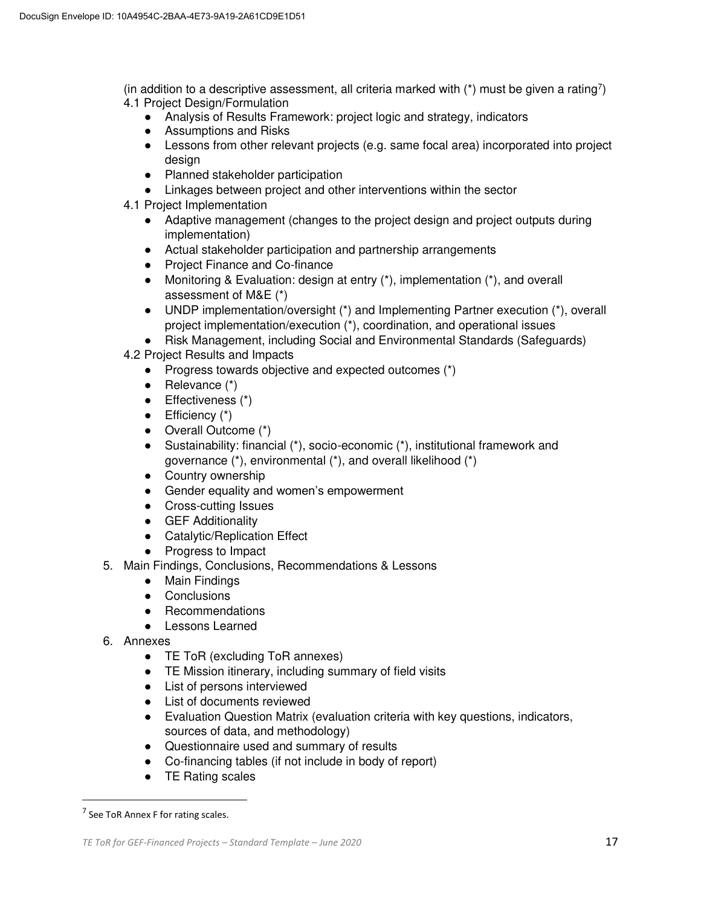(in addition to a descriptive assessment, all criteria marked with  $(*)$  must be given a rating<sup>7</sup>) 4.1 Project Design/Formulation

- Analysis of Results Framework: project logic and strategy, indicators
- Assumptions and Risks
- Lessons from other relevant projects (e.g. same focal area) incorporated into project desian
- Planned stakeholder participation
- Linkages between project and other interventions within the sector
- 4.1 Project Implementation
	- Adaptive management (changes to the project design and project outputs during implementation)
	- Actual stakeholder participation and partnership arrangements
	- Project Finance and Co-finance
	- Monitoring & Evaluation: design at entry (\*), implementation (\*), and overall assessment of M&E (\*)
	- UNDP implementation/oversight (\*) and Implementing Partner execution (\*), overall project implementation/execution (\*), coordination, and operational issues
	- Risk Management, including Social and Environmental Standards (Safeguards)
- 4.2 Project Results and Impacts
	- Progress towards objective and expected outcomes (\*)
	- $\bullet$  Relevance  $(*)$
	- Effectiveness (\*)
	- $\bullet$  Efficiency  $(*)$
	- Overall Outcome (\*)
	- Sustainability: financial (\*), socio-economic (\*), institutional framework and governance (\*), environmental (\*), and overall likelihood (\*)
	- Country ownership
	- Gender equality and women's empowerment
	- Cross-cutting Issues
	- GEF Additionality
	- Catalytic/Replication Effect
	- Progress to Impact
- 5. Main Findings, Conclusions, Recommendations & Lessons
	- Main Findings
	- Conclusions
	- Recommendations
	- Lessons Learned
- 6. Annexes
	- TE ToR (excluding ToR annexes)
	- TE Mission itinerary, including summary of field visits
	- List of persons interviewed
	- List of documents reviewed
	- Evaluation Question Matrix (evaluation criteria with key questions, indicators, sources of data, and methodology)
	- Questionnaire used and summary of results
	- Co-financing tables (if not include in body of report)
	- TE Rating scales

 $\overline{\phantom{0}}$ 

 $<sup>7</sup>$  See ToR Annex F for rating scales.</sup>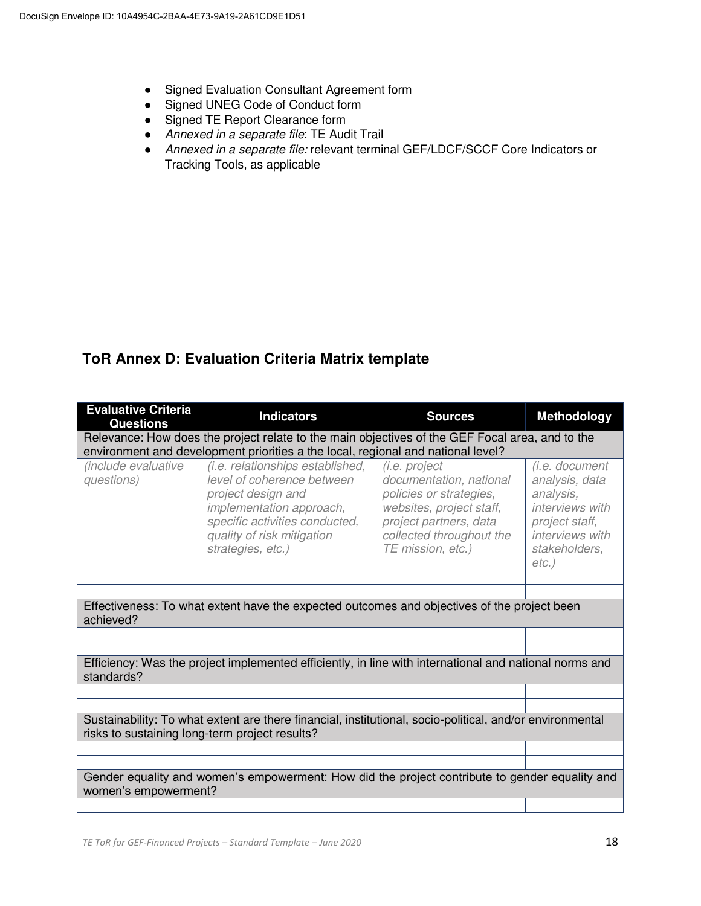- Signed Evaluation Consultant Agreement form
- Signed UNEG Code of Conduct form
- Signed TE Report Clearance form
- *Annexed in a separate file*: TE Audit Trail
- *Annexed in a separate file:* relevant terminal GEF/LDCF/SCCF Core Indicators or Tracking Tools, as applicable

## **ToR Annex D: Evaluation Criteria Matrix template**

| <b>Evaluative Criteria</b><br><b>Questions</b>                                                                                                             | <b>Indicators</b>                                                                                                                                                                                     | <b>Sources</b>                                                                                                                                                             | <b>Methodology</b>                                                                                                                 |  |  |  |  |
|------------------------------------------------------------------------------------------------------------------------------------------------------------|-------------------------------------------------------------------------------------------------------------------------------------------------------------------------------------------------------|----------------------------------------------------------------------------------------------------------------------------------------------------------------------------|------------------------------------------------------------------------------------------------------------------------------------|--|--|--|--|
| Relevance: How does the project relate to the main objectives of the GEF Focal area, and to the                                                            |                                                                                                                                                                                                       |                                                                                                                                                                            |                                                                                                                                    |  |  |  |  |
| environment and development priorities a the local, regional and national level?                                                                           |                                                                                                                                                                                                       |                                                                                                                                                                            |                                                                                                                                    |  |  |  |  |
| <i>(include evaluative</i><br>questions)                                                                                                                   | (i.e. relationships established,<br>level of coherence between<br>project design and<br>implementation approach,<br>specific activities conducted,<br>quality of risk mitigation<br>strategies, etc.) | (i.e. project<br>documentation, national<br>policies or strategies,<br>websites, project staff,<br>project partners, data<br>collected throughout the<br>TE mission, etc.) | (i.e. document<br>analysis, data<br>analysis,<br>interviews with<br>project staff,<br>interviews with<br>stakeholders,<br>$etc.$ ) |  |  |  |  |
|                                                                                                                                                            |                                                                                                                                                                                                       |                                                                                                                                                                            |                                                                                                                                    |  |  |  |  |
|                                                                                                                                                            |                                                                                                                                                                                                       |                                                                                                                                                                            |                                                                                                                                    |  |  |  |  |
| Effectiveness: To what extent have the expected outcomes and objectives of the project been<br>achieved?                                                   |                                                                                                                                                                                                       |                                                                                                                                                                            |                                                                                                                                    |  |  |  |  |
|                                                                                                                                                            |                                                                                                                                                                                                       |                                                                                                                                                                            |                                                                                                                                    |  |  |  |  |
|                                                                                                                                                            |                                                                                                                                                                                                       |                                                                                                                                                                            |                                                                                                                                    |  |  |  |  |
| Efficiency: Was the project implemented efficiently, in line with international and national norms and<br>standards?                                       |                                                                                                                                                                                                       |                                                                                                                                                                            |                                                                                                                                    |  |  |  |  |
|                                                                                                                                                            |                                                                                                                                                                                                       |                                                                                                                                                                            |                                                                                                                                    |  |  |  |  |
|                                                                                                                                                            |                                                                                                                                                                                                       |                                                                                                                                                                            |                                                                                                                                    |  |  |  |  |
| Sustainability: To what extent are there financial, institutional, socio-political, and/or environmental<br>risks to sustaining long-term project results? |                                                                                                                                                                                                       |                                                                                                                                                                            |                                                                                                                                    |  |  |  |  |
|                                                                                                                                                            |                                                                                                                                                                                                       |                                                                                                                                                                            |                                                                                                                                    |  |  |  |  |
|                                                                                                                                                            |                                                                                                                                                                                                       |                                                                                                                                                                            |                                                                                                                                    |  |  |  |  |
| Gender equality and women's empowerment: How did the project contribute to gender equality and<br>women's empowerment?                                     |                                                                                                                                                                                                       |                                                                                                                                                                            |                                                                                                                                    |  |  |  |  |
|                                                                                                                                                            |                                                                                                                                                                                                       |                                                                                                                                                                            |                                                                                                                                    |  |  |  |  |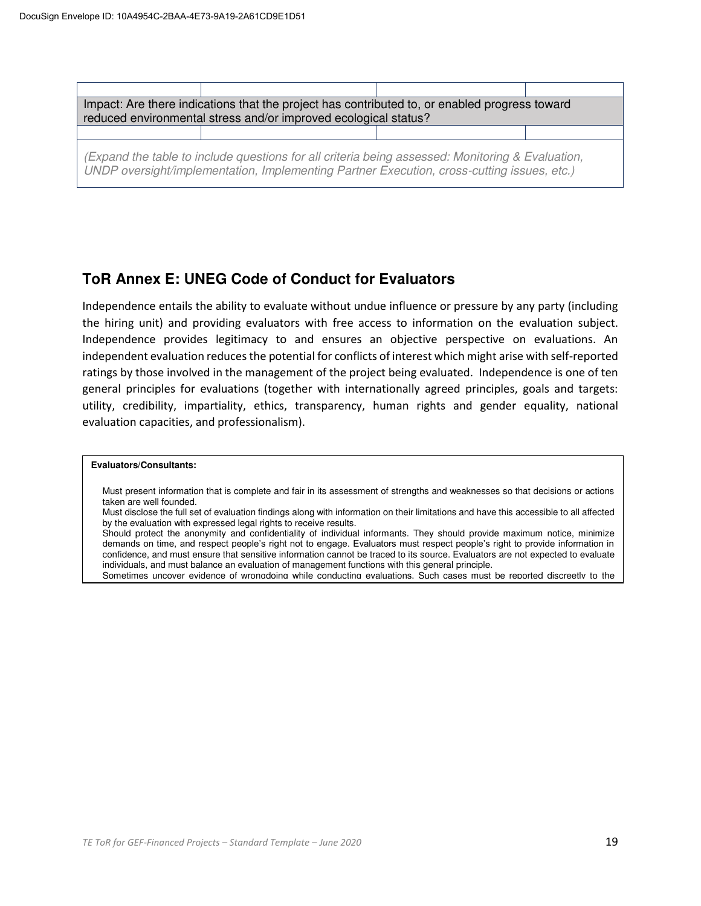

### **ToR Annex E: UNEG Code of Conduct for Evaluators**

Independence entails the ability to evaluate without undue influence or pressure by any party (including the hiring unit) and providing evaluators with free access to information on the evaluation subject. Independence provides legitimacy to and ensures an objective perspective on evaluations. An independent evaluation reduces the potential for conflicts of interest which might arise with self-reported ratings by those involved in the management of the project being evaluated. Independence is one of ten general principles for evaluations (together with internationally agreed principles, goals and targets: utility, credibility, impartiality, ethics, transparency, human rights and gender equality, national evaluation capacities, and professionalism).

#### **Evaluators/Consultants:**

- Must present information that is complete and fair in its assessment of strengths and weaknesses so that decisions or actions taken are well founded.
- Must disclose the full set of evaluation findings along with information on their limitations and have this accessible to all affected by the evaluation with expressed legal rights to receive results.
- Should protect the anonymity and confidentiality of individual informants. They should provide maximum notice, minimize demands on time, and respect people's right not to engage. Evaluators must respect people's right to provide information in confidence, and must ensure that sensitive information cannot be traced to its source. Evaluators are not expected to evaluate individuals, and must balance an evaluation of management functions with this general principle.

Sometimes uncover evidence of wrongdoing while conducting evaluations. Such cases must be reported discreetly to the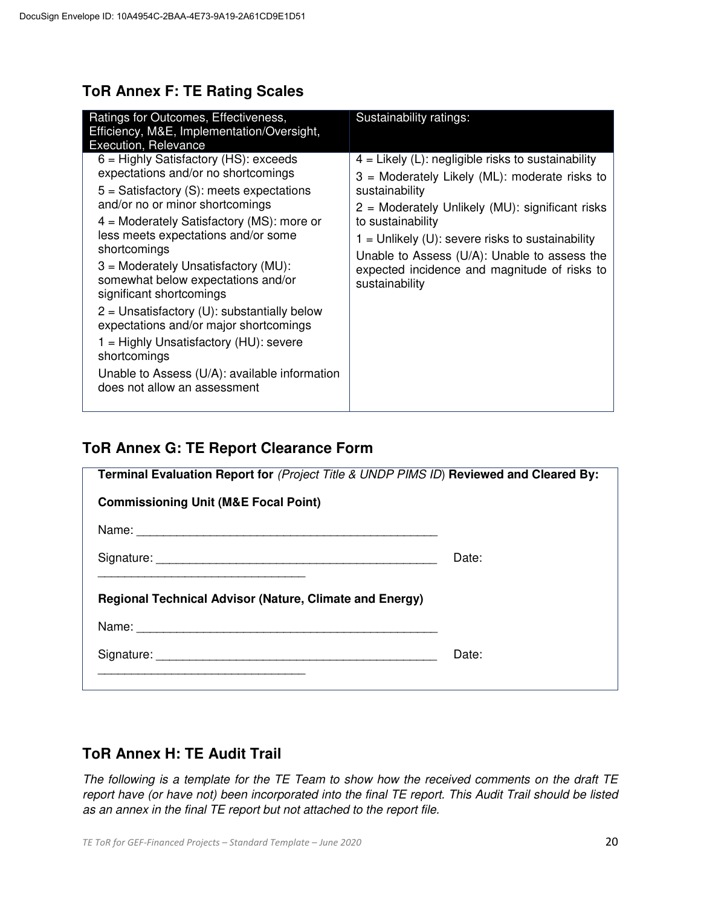### **ToR Annex F: TE Rating Scales**

| Ratings for Outcomes, Effectiveness,<br>Efficiency, M&E, Implementation/Oversight,<br><b>Execution, Relevance</b>                                                                                                                                                                                                                                                                                                                                                                                                                                                                                                      | Sustainability ratings:                                                                                                                                                                                                                                                                                                                                                 |
|------------------------------------------------------------------------------------------------------------------------------------------------------------------------------------------------------------------------------------------------------------------------------------------------------------------------------------------------------------------------------------------------------------------------------------------------------------------------------------------------------------------------------------------------------------------------------------------------------------------------|-------------------------------------------------------------------------------------------------------------------------------------------------------------------------------------------------------------------------------------------------------------------------------------------------------------------------------------------------------------------------|
| $6$ = Highly Satisfactory (HS): exceeds<br>expectations and/or no shortcomings<br>$5 =$ Satisfactory (S): meets expectations<br>and/or no or minor shortcomings<br>$4 =$ Moderately Satisfactory (MS): more or<br>less meets expectations and/or some<br>shortcomings<br>$3$ = Moderately Unsatisfactory (MU):<br>somewhat below expectations and/or<br>significant shortcomings<br>$2$ = Unsatisfactory (U): substantially below<br>expectations and/or major shortcomings<br>1 = Highly Unsatisfactory (HU): severe<br>shortcomings<br>Unable to Assess (U/A): available information<br>does not allow an assessment | $4$ = Likely (L): negligible risks to sustainability<br>3 = Moderately Likely (ML): moderate risks to<br>sustainability<br>2 = Moderately Unlikely (MU): significant risks<br>to sustainability<br>$1 =$ Unlikely (U): severe risks to sustainability<br>Unable to Assess (U/A): Unable to assess the<br>expected incidence and magnitude of risks to<br>sustainability |

### **ToR Annex G: TE Report Clearance Form**

| Terminal Evaluation Report for (Project Title & UNDP PIMS ID) Reviewed and Cleared By: |       |  |  |  |  |
|----------------------------------------------------------------------------------------|-------|--|--|--|--|
| <b>Commissioning Unit (M&amp;E Focal Point)</b>                                        |       |  |  |  |  |
|                                                                                        |       |  |  |  |  |
|                                                                                        | Date: |  |  |  |  |
| <b>Regional Technical Advisor (Nature, Climate and Energy)</b>                         |       |  |  |  |  |
|                                                                                        |       |  |  |  |  |
|                                                                                        | Date: |  |  |  |  |
|                                                                                        |       |  |  |  |  |

## **ToR Annex H: TE Audit Trail**

*The following is a template for the TE Team to show how the received comments on the draft TE report have (or have not) been incorporated into the final TE report. This Audit Trail should be listed as an annex in the final TE report but not attached to the report file.*